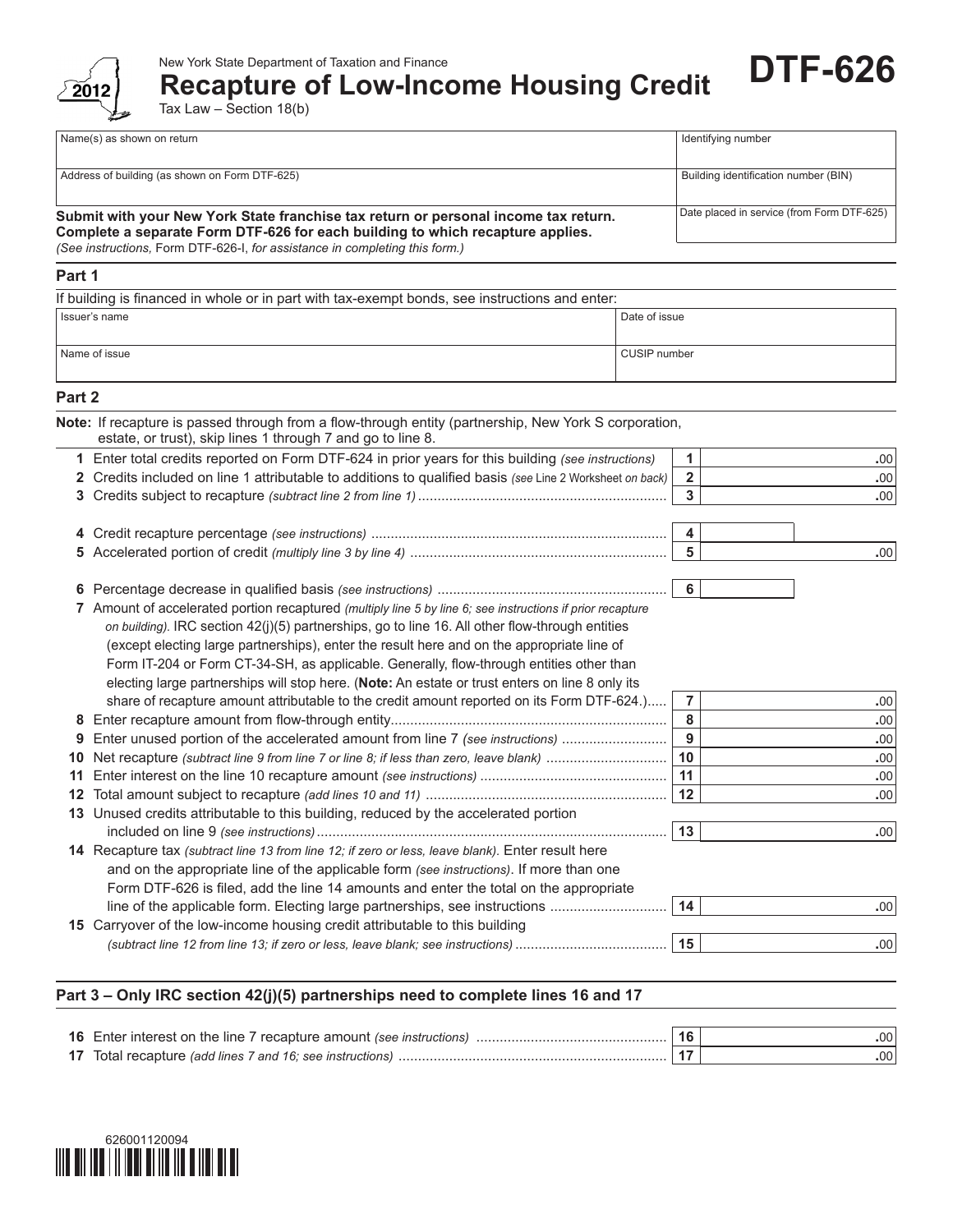

### New York State Department of Taxation and Finance

# **Recapture of Low-Income Housing Credit**

Tax Law – Section 18(b)

| Name(s) as shown on return                                                          | Identifying number                         |  |
|-------------------------------------------------------------------------------------|--------------------------------------------|--|
|                                                                                     |                                            |  |
| Address of building (as shown on Form DTF-625)                                      | Building identification number (BIN)       |  |
|                                                                                     |                                            |  |
| Submit with your New York State franchise tax return or personal income tax return. | Date placed in service (from Form DTF-625) |  |
| Complete a separate Form DTF-626 for each building to which recapture applies.      |                                            |  |
| (See instructions, Form DTF-626-I, for assistance in completing this form.)         |                                            |  |

**DTF-626**

### **Part 1**

| If building is financed in whole or in part with tax-exempt bonds, see instructions and enter: |               |  |  |
|------------------------------------------------------------------------------------------------|---------------|--|--|
| Issuer's name                                                                                  | Date of issue |  |  |
|                                                                                                |               |  |  |
| Name of issue                                                                                  | CUSIP number  |  |  |
|                                                                                                |               |  |  |

## **Part 2**

 $\overline{a}$ 

|              | Note: If recapture is passed through from a flow-through entity (partnership, New York S corporation,<br>estate, or trust), skip lines 1 through 7 and go to line 8. |                         |      |
|--------------|----------------------------------------------------------------------------------------------------------------------------------------------------------------------|-------------------------|------|
|              | Enter total credits reported on Form DTF-624 in prior years for this building (see instructions)                                                                     | $\mathbf{1}$            | .00. |
| $\mathbf{2}$ | Credits included on line 1 attributable to additions to qualified basis (see Line 2 Worksheet on back)                                                               | $\overline{\mathbf{2}}$ | .00  |
| 3.           |                                                                                                                                                                      | 3                       | .00  |
|              |                                                                                                                                                                      | 4                       |      |
|              |                                                                                                                                                                      | $5\phantom{a}$          | .00  |
| 6            |                                                                                                                                                                      | 6                       |      |
|              | 7 Amount of accelerated portion recaptured (multiply line 5 by line 6; see instructions if prior recapture                                                           |                         |      |
|              | on building). IRC section 42(j)(5) partnerships, go to line 16. All other flow-through entities                                                                      |                         |      |
|              |                                                                                                                                                                      |                         |      |
|              | (except electing large partnerships), enter the result here and on the appropriate line of                                                                           |                         |      |
|              | Form IT-204 or Form CT-34-SH, as applicable. Generally, flow-through entities other than                                                                             |                         |      |
|              | electing large partnerships will stop here. (Note: An estate or trust enters on line 8 only its                                                                      |                         |      |
|              | share of recapture amount attributable to the credit amount reported on its Form DTF-624.)                                                                           | $\overline{7}$          | .00. |
| 8            |                                                                                                                                                                      | 8                       | .00  |
| 9            | Enter unused portion of the accelerated amount from line 7 (see instructions)                                                                                        | $\overline{9}$          | .00  |
| 10           |                                                                                                                                                                      | 10                      | .00  |
| 11           |                                                                                                                                                                      | 11                      | .00  |
| 12           |                                                                                                                                                                      | 12                      | .00  |
| 13           | Unused credits attributable to this building, reduced by the accelerated portion                                                                                     |                         |      |
|              |                                                                                                                                                                      | 13                      | .00. |
|              | 14 Recapture tax (subtract line 13 from line 12; if zero or less, leave blank). Enter result here                                                                    |                         |      |
|              | and on the appropriate line of the applicable form (see instructions). If more than one                                                                              |                         |      |
|              | Form DTF-626 is filed, add the line 14 amounts and enter the total on the appropriate                                                                                |                         |      |
|              | line of the applicable form. Electing large partnerships, see instructions                                                                                           | 14                      | .00. |
|              | 15 Carryover of the low-income housing credit attributable to this building                                                                                          |                         |      |
|              |                                                                                                                                                                      | 15                      | .00  |
|              |                                                                                                                                                                      |                         |      |

### **Part 3 – Only IRC section 42(j)(5) partnerships need to complete lines 16 and 17**

| <b>16</b> Enter interest on the line 7 recapture amount (see instructions) |  |
|----------------------------------------------------------------------------|--|
| <b>17</b> Total recapture (add lines 7 and 16; see instructions)           |  |